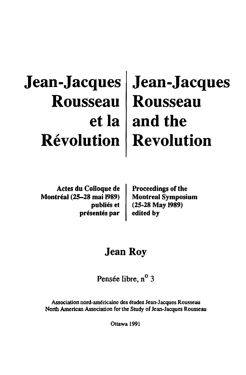# **Jean-Jacques Jean-Jacques Rousseau Rousseau etla and the Revolution Revolution**

Actes du Colloque de Montreal (25-28 mai 1989) publiés et présentés par

Proceedings of the Montreal Symposium (25-28 May 1989) edited by

## Jean Roy

Pensée libre, n<sup>o</sup> 3

Association nord-am6ricaine des 6tudes Jean-Jacques Rousseau North American Association for the Study of Jean-Jacques Rousseau

Ottawa 1991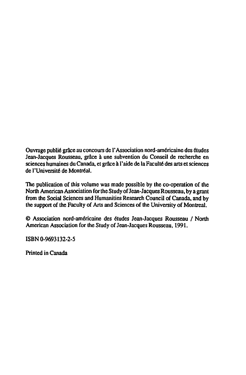Ouvrage publie grace au concours de I' Association nord-americaine des etudes Jean-Jacques Rousseau, grâce à une subvention du Conseil de recherche en sciences humaines du Canada, et grâce à l'aide de la Faculté des arts et sciences de l'Université de Montréal.

The publication of this volume was made possible by the co-operation of the North American Association for the Study of Jean-Jacques Rousseau, by a grant from the Social Sciences and Humanities Research Council of Canada. and by the support of the Faculty of Arts and Sciences of the University of Montreal.

© Association nord-américaine des études Jean-Jacques Rousseau / North American Association for the Sludy of Jean-Jacques Rousseau, 1991.

ISBN 0-9693132-2-5

Printed in Canada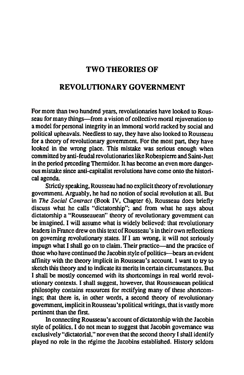#### TWO THEORIES OF

### REVOLUTIONARY GOVERNMENT

For more than two hundred years. revolutionaries have looked to Rousseau for many things—from a vision of collective moral rejuvenation to a model for personal integrity in an immoral world racked by social and political upheavals. Needless to say. they have also looked to Rousseau for a theory of revolutionary government. For the most part, they have looked in the wrong place. This mistake was serious enough when committed by anti-feudal revolutionaries like Robespierre and Saint-Just in the period preceding Thermidor. It has become an even more dangerous mistake since anti-capitalist revolutions have come onto the historical agenda.

Strictly speaking. Rousseau had no explicit theory of revolutionary government. Arguably. he had no notion of social revolution at all. But in *The Social Contract* (Book IV. Chapter 6), Rousseau does briefly discuss what he calls "dictatorship"; and from what he says about dictatorship a "Rousseauean" theory of revolutionary government can be imagined. I will assume what is widely believed: that revolutionary leaders in France drew on this text of Rousseau' s in their own reflections on governing revolutionary states. *H* I am wrong. it will not seriously impugn what I shall go on to claim. Their practice-and the practice of those who have continued the Jacobin style of politics-bears an evident affinity with the theory implicit in Rousseau's account. I want to try to sketch this theory and to indicate its merits in certain circumstances. But I shall be mostly concerned with its shortcomings in real world revolutionary contexts. I shall suggest. however. that Rousseauean political philosophy contains resources for rectifying many of these shortcomings; that there is. in other words. a second theory of revolutionary government. implicit in Rousseau's political writings. that is vastly more pertinent than the first.

In connecting Rousseau's account of dictatorship with the Jacobin style of politics. I do not mean to suggest that Jacobin governance was exclusively "dictatorial." nor even that the second theory I shall identify played no role in the regime the Jacobins established. History seldom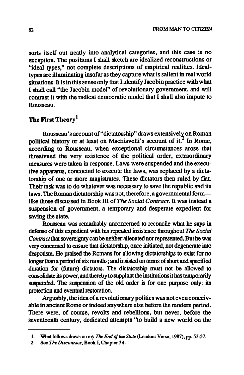sorts itself out neatly into analytical categories, and this case is no exception. The positions I shall sketch are idealized reconstructions or ''ideal types," not complete descriptions of empirical realities. Idealtypes are illuminating insofar as they capture what is salient in real world situations. It is in this sense only that I identify Jacobin practice with what I shall call "the Jacobin model" of revolutionary government, and will contrast it with the radical democratic model that I shall also impute to Rousseau.

### The First Theory<sup>1</sup>

Rousseau's account of "dictatorship" draws extensively on Roman political history or at least on Machiavelli's account of it. $<sup>2</sup>$  In Rome,</sup> according to Rousseau, when exceptional circumstances arose that threatened the very existence of the political order, extraordinary measures were taken in response. Laws were suspended and the executive apparatus, concocted to execute the laws, was replaced by a dictatorship of one or more magistrates. These dictators then ruled by fiat. Their task was to do whatever was necessary to save the republic and its laws. The Roman dictatorship was not, therefore, a governmental formlike those discussed in Book ill of *The Social Contract.* It was instead a suspension of government, a temporary and desperate expedient for saving the state.

Rousseau was remarkably unconcerned to reconcile what he says in defense of this expedient with his repeated insistence throughout *The Social Contract* that sovereignty can be neither alienated nor represented. But he was very concerned to ensure that dictatorship, once initiated, not degenerate into despotism. He praised the Romans for allowing dictatorships to exist for no longer than a period of six months; and insisted on terms of short and specified duration for (future) dictators. The dictatorship must not be allowed to consolidate its power, and thereby to supplant the institutions it has temporarily suspended. The suspension of the old order is for one purpose only: its protection and eventual restoration.

Arguably, the idea of a revolutionary politics was not even conceivable in ancient Rome or indeed anywhere else before the modem period. There were, of course, revolts and rebellions, but never, before the seventeenth century, dedicated attempts "to build a new world on the

<sup>1.</sup> What follows dmws on my The *End of the Stale* (London: Verso. 1987). pp. 53-57.

<sup>2.</sup> See The Discourses, Book I, Chapter 34.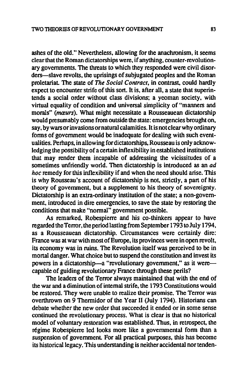ashes of the old." Nevertheless, allowing for the anachronism, it seems clear that the Roman dictatorships were, if anything. counter-revolutionary governments. The threats to which they responded were civil disorders-slave revolts, the uprisings of subjugated peoples and the Roman proletariat The state of *The Social Contract,* in contrast, could hardly expect to encounter strife of this sort. It is, after all, a state that superintends a social order without class divisions; a yeoman society. with virtual equality of condition and universal simplicity of "manners and morals" (mœurs). What might necessitate a Rousseauean dictatorship would presumably come from outside the state: emergencies brought on, say, by wars or invasions ornatural calamities. It is not clear why ordinary fonns of government would be inadequate for dealing with such eventualities. Perhaps, in allowing for dictatorships, Rousseau is only acknowledging the possibility of a certain inflexibility in established institutions that may render them incapable of addressing the vicissitudes of a sometimes unfriendly world. Then dictatorship is introduced as an *ad hoc* remedy for this inflexibility if and when the need should arise. This is why Rousseau's account of dictatorship is not, strictly. a part of his theory of govenunent, but a supplement to his theory of sovereignty. Dictatorship is an extra-ordinary institution of the state; a non-government, introduced in dire emergencies, to save the state by restoring the conditions that make "normal" government possible.

As remarked. Robespierre and his co-thinkers appear to have regarded the Tenor, the period lasting from September 1793 to July 1794. as a Rousseauean dictatorship. Circumstances were certainly dire: France was at war with most of Europe, its provinces were in open revolt, its economy was in ruins. The Revolution itself was perceived to be in mortal danger. What choice but to suspend the constitution and invest its powers in a dictatorship-a "revolutionary government," as it werecapable of guiding revolutionary France through these perils?

The leaders of the Terror always maintained that with the end of the war and a diminution of internal strife, the 1793 Constitutions would be restored. They were unable to realize their promise. The Terror was overthrown on 9 Thermidor of the Year II (July 1794). Historians can debate whether the new order that succeeded it ended or in some sense continued the revolutionary process. What is clear is that no historical model of voluntary restoration was established. Thus, in retrospect, the régime Robespierre led looks more like a governmental form than a suspension of government. For all practical purposes, this has become its historical legacy . This understanding is neither accidental nor tenden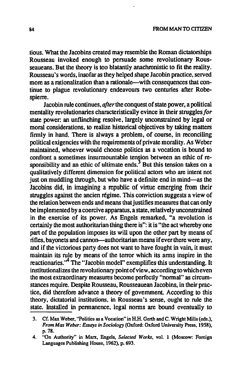tious. What the Jacobins created may resemble the Roman dictatorships Rousseau invoked enough to persuade some revolutionary Rousseaueans. But the theory is too blatantly anachronistic to fit the reality. Rousseau's words, insofar as they helped shape Jacobin practice, served more as a rationalization than a rationale—with consequences that continue to plague revolutionary endeavours two centuries after Robespierre.

Jacobin rule continues, *after* the conquest of state power, a political mentality revolutionaries characteristically evince in their struggles for state power: an unflinching resolve, largely unconstrained by legal or moral considerations, to realize historical objectives by taking matters firmly in hand. There is always a problem, of course, in reconciling political exigencies with the requirements of private morality. As Weber maintained, whoever would choose politics as a vocation is bound to confront a sometimes insurmountable tension between an ethic of responsibility and an ethic of ultimate ends.<sup>3</sup> But this tension takes on a qualitatively different dimension for political actors who are intent not just on muddling through, but who have a definite end in mind—as the Jacobins did. in imagining a republic of virtue emerging from their struggles against the ancien regime. This conviction suggests a view of the relation between ends and means that justifies measures that can only be implemented by a coercive apparatus, a state, relatively unconstrained in the exercise of its power. As Engels remarked. "a revolution is certainly the most authoritarian thing there is": it is "the act whereby one part of the population imposes its will upon the other part by means of rifles. bayonets and cannon-authoritarian means if ever there were any. and if the victorious party does not want to have fought in vain. it must maintain its rule by means of the terror which its arms inspire in the reactionaries.<sup>'4</sup> The "Jacobin model" exemplifies this understanding. It institutionalizes the revolutionary point of view , according to which even the most extraordinary measures become perfectly "normal" as circumstances require. Despite Rousseau. Rousseauean Jacobins, in their practice, did therefore advance a theory of government. According to this theory. dictatorial institutions. in Rousseau's sense, ought to rule the state. Installed in permanence, legal norms are bound eventually to

<sup>3.</sup> Cf. Max Weber, "Politics as a Vocation" in H.H. Gerth and C. Wright Mills (eds.), *From Max Weber: Essays in Sociology* (Oxford: Oxford University Press, 1958), p.78.

<sup>4. &</sup>quot;On Authority" in Marx, Engels, *Selected Works',* vol. 1 (Moscow: Foreign Languages Publishing House, 1962). p. 693.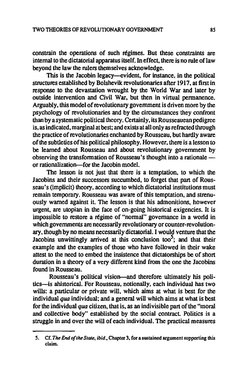constrain the operations of such regimes. But these constraints are internal to the dictatorial apparatus itself. In effect, there is no rule of law beyond the law the rulers themselves acknowledge.

This is the Jacobin legacy-evident, for instance. in the political structures established by Bolshevik revolutionaries after 1917. at first in response to the devastation wrought by the World War and later by outside intervention and Civil War. but then in virtual permanence. Arguably. this model of revolutionary government is driven more by the psychology of revolutionaries and by the circumstances they confront than by a systematic political theory. Certainly. its Rousseauean pedigree is. as indicated. marginal at best; and exists at all only as refracted through the practice of revolutionaries enchanted by Rousseau. but hardly aware of the subtleties of his political philosophy. However. there is a lesson to be learned about Rousseau and about revolutionary government by observing the transformation of Rousseau's thought into a rationale or rationalization-for the Jacobin model.

The lesson is not just that there is a temptation. to which the Jacobins and their successors succumbed, to forget that part of Rousseau's (implicit) theory. according to which dictatorial institutions must remain temporary. Rousseau was aware of this temptation. and strenuously warned against it. The lesson is that his admonitions. however urgent. are utopian in the face of on-going historical exigencies. It is impossible to restore a régime of "normal" governance in a world in which governments are necessarily revolutionary or counter-revolutionary. though by no means necessarily dictatorial. I would venture that the Jacobins unwittingly arrived at this conclusion too<sup>5</sup>; and that their example and the examples of those who have followed in their wake attest to the need to embed the insistence that dictatorships be of short duration in a theory of a very different kind from the one the Jacobins found in Rousseau.

Rousseau's political vision-and therefore ultimately his politics-is ahistorical. For Rousseau. notionally. each individual has two wills: a particular or private will. which aims at what is best for the individual *qua* individual; and a general will which aims at what is best for the individual *qua* citizen. that is. as an indivisible part of the "moral and collective body" established by the social contract. Politics is a struggle in and over the will of each individual. The practical measures

<sup>5.</sup> Cf. *The* End *O/Ihe Slate, ibid.,* Chapter 3, for a sustained argument supporting this claim.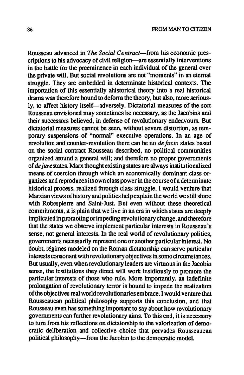Rousseau advanced in *The Social Contract-from* his economic prescriptions to his advocacy of civil religion-are essentially interventions in the battle for the preeminence in each individual of the general over the private will. But social revolutions are not "moments" in an eternal struggle. They are embedded in detenninate historical contexts. The importation of this essentially ahistorical theory into a real historical drama was therefore bound to deform the theory, but also, more seriously, to affect history itself-adversely. Dictatorial measures of the sort Rousseau envisioned may sometimes be necessary, as the Jacobins and their successors believed, in defense of revolutionary endeavours. But dictatorial measures cannot be seen, without severe distortion, as temporary suspensions of "nonnal" executive operations. In an age of revolution and counter-revolution there can be no *de facto* states based on the social contract Rousseau described, no political communities organized around a general will; and therefore no proper governments of *de jure* states. Marx thought existing states are always institutionalized means of coercion through which an economically dominant class organizes and reproduces its own class power in the course of a detenninate historical process, realized through class struggle. I would venture that Marxian views of history and politics help explain the world we still share with Robespierre and Saint-Just. But even without these theoretical commitments, it is plain that we live in an era in which states are deeply implicated in promoting orimpeding revolutionary change, and therefore that the states we observe implement particular interests in Rousseau's sense, not general interests. In the real world of revolutionary politics, governments necessarily represent one or another particular interest. No doubt, régimes modeled on the Roman dictatorship can serve particular interests consonant with revolutionary objectives in some circumstances. But usually, even when revolutionary leaders are virtuous in the Jacobin sense, the institutions they direct will work insidiously to promote the particular interests of those who rule. More importantly. an indefinite prolongation of revolutionary terror is bound to impede the realization of the objectives real world revolutionaries embrace. I would venture that Rousseauean political philosophy supports this conclusion, and that Rousseau even has something important to say about how revolutionary governments can further revolutionary aims. To this end, it is necessary to tum from his reflections on dictatorship to the valorization of democratic deliberation and collective choice that pervades Rousseauean political philosophy-from the Jacobin to the democratic model.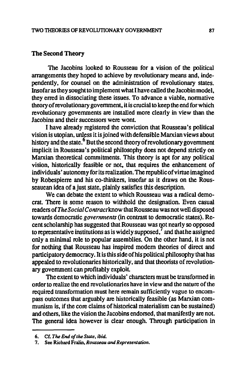#### The Second Theory

The Jacobins looked to Rousseau for a vision of the political arrangements they hoped to achieve by revolutionary means and, independently, for counsel on the administration of revolutionary states. Insofar as they sought to implement what I have called the Jacobin model, they erred in dissociating these issues. To advance a viable, normative theory of revolutionary government, it is crucial to keep the end for which revolutionary governments are installed more clearly in view than the Jacobins and their successors were wont.

I have already registered the conviction that Rousseau's political vision is utopian, unless it is joined with defensible Marxian views about history and the state.<sup>6</sup> But the second theory of revolutionary government implicit in Rousseau's political philosophy does not depend strictly on Marxian theoretical commitments. This theory is apt for any political vision, historically feasible or not, that requires the enhancement of individuals' autonomy for its realization. The republic of virtue imagined by Robespierre and his co-thinkers, insofar as it draws on the Rousseauean idea of a just state, plainly satisfies this description.

We can debate the extent to which Rousseau was a radical democrat. There is some reason to withhold the designation. Even casual readers of *The Social Contract* know that Rousseau was not well disposed towards democratic *governments* (in contrast to democratic states). Recent scholarship has suggested that Rousseau was not nearly so opposed to representative institutions as is widely supposed, $\prime$  and that he assigned only a minimal role to popular assemblies. On the other hand, it is not for nothing that Rousseau has inspired modem theories of direct and participatory democracy. It is this side of his political philosophy that has appealed to revolutionaries historically, and that theorists of revolutionary government can profitably exploit

The extent to which individuals' characters must be transformed in order to realize the end revolutionaries have in view and the nature of the required transformation must here remain sufficiently vague to encompass outcomes that arguably are historically feasible (as Marxian communism is, if the core claims of historical materialism can be sustained) and others, like the vision the Jacobins endorsed, that manifestly are not. The general idea however is clear enough. Through participation in

<sup>6.</sup> Cf. *The End of lhe Slate.* ibid.

<sup>7.</sup> See Richard Fralin. *Rousseau and Representation.*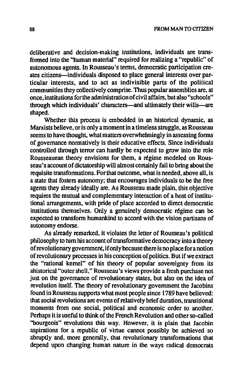deliberative and decision-making institutions, individuals are transfonned into the "human material" required for realizing a "republic" of autonomous agents. In Rousseau's tenns, democratic participation creates citizens-individuals disposed to place general interests over particular interests, and to act as indivisible parts of the political communities they collectively comprise. Thus popular assemblies are, at once, institutions forthe administration of civil affairs, but also "schools" through which individuals' characters—and ultimately their wills—are shaped.

Whether this process is embedded in an historical dynamic, as Marxists believe, or is only a moment in a timeless struggle, as Rousseau seems to have thought, what matters overwhelmingly in assessing forms of governance nonnatively is their educative effects. Since individuals controlled through terror can hardly be expected to grow into the role Rousseauean theory envisions for them, a regime modeled on Rousseau's account of dictatorship will almost certainly fail to bring about the requisite transformations. For that outcome, what is needed, above all, is a state that fosters autonomy; that encourages individuals to be the free agents they already ideally are. As Rousseau made plain, this objective requires the mutual and complementary interaction of a host of institutional arrangements, with pride of place accorded to direct democratic institutions themselves. Only a genuinely democratic regime can be expected to transform humankind to accord with the vision partisans of autonomy endorse.

As already remarked, it violates the letter of Rousseau's political philosophy to tum his account of transfonnative democracy into a theory of revolutionary government, if only because there is no place fora notion of revolutionary processes in his conception of politics. But if we extract the "rational kernel" of his theory of popular sovereignty from its ahistorical"outer shell," Rousseau's views provide a fresh purchase not just on the governance of revolutionary states, but also on the idea of revolution itself. The theory of revolutionary government the Jacobins found in Rousseau supports what most people since 1789 have believed: that social revolutions are events of relatively brief duration, transitional moments from one social, political and economic order to another. Perhaps it is useful to think of the French Revolution and other so-called "bourgeois" revolutions this way. However. it is plain that Jacobin aspirations for a republic of virtue cannot possibly be achieved so abruptly and, more generally, that revolutionary transfonnations that depend upon changing human nature in the ways radical democrats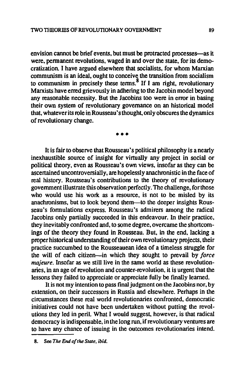envision cannot be brief events, but must be protracted processes—as it were, permanent revolutions, waged in and over the state, for its democratization. I have argued elsewhere that socialists. for whom Marxian communism is an ideal, ought to conceive the transition from socialism to communism in precisely these terms.<sup>8</sup> If I am right, revolutionary Marxists have erred grievously in adhering to the Jacobin model beyond any reasonable necessity. But the Jacobins too were in error in basing their own system of revolutionary governance on an historical model that. whatever its role in Rousseau's thought. only obscures the dynamics of revolutionary change.

**• ••** 

It is fair to observe that Rousseau's political philosophy is a nearly inexhaustible source of insight for virtually any project in social or political theory. even as Rousseau's own views. insofar as they can be ascertained uncontroversially, are hopelessly anachronistic in the face of real history. Rousseau's contributions to the theory of revolutionary government illustrate this observation perfectly. The challenge. for those who would use his work as a resource, is not to be misled by its anachronisms. but to look beyond them-to the deeper insights Rousseau's fonnulations express. Rousseau's admirers among the radical Jacobins only partially succeeded in this endeavour. In their practice, they inevitably confronted and, to some degree. overcame the shortcomings of the theory they found in Rousseau. But. in the end. lacking a proper historical understanding of their own revolutionary projects. their practice succumbed to the Rousseauean idea of a timeless struggle for the will of each citizen-in which they sought to prevail by *force majeure.* Insofar as we still live in the same world as these revolutionaries. in an age of revolution and counter-revolution, it is urgent that the lessons they failed to appreciate or appreciate fully be finally learned.

It is not my intention to pass final judgment on the Jacobins nor. by extension. on their successors in Russia and elsewhere. Perhaps in the circumstances these real world revolutionaries confronted. democratic initiatives could not have been undertaken without putting the revolutions they led in peril. What I would suggest. however, is that radical democracy is indispensable, in the long run. if revolutionary ventures are to have any chance of issuing in the outcomes revolutionaries intend.

<sup>8.</sup> See *The End of the Stale. ibid.*